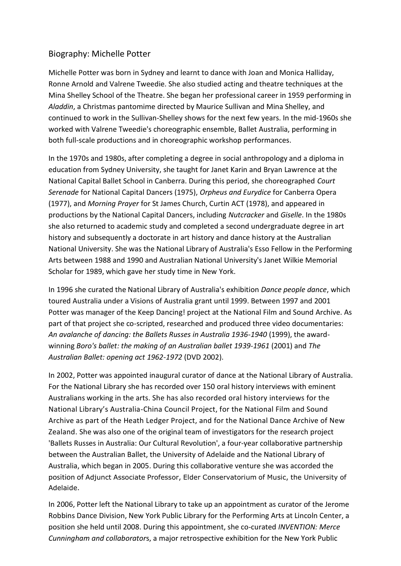## Biography: Michelle Potter

Michelle Potter was born in Sydney and learnt to dance with Joan and Monica Halliday, Ronne Arnold and Valrene Tweedie. She also studied acting and theatre techniques at the Mina Shelley School of the Theatre. She began her professional career in 1959 performing in *Aladdin*, a Christmas pantomime directed by Maurice Sullivan and Mina Shelley, and continued to work in the Sullivan-Shelley shows for the next few years. In the mid-1960s she worked with Valrene Tweedie's choreographic ensemble, Ballet Australia, performing in both full-scale productions and in choreographic workshop performances.

In the 1970s and 1980s, after completing a degree in social anthropology and a diploma in education from Sydney University, she taught for Janet Karin and Bryan Lawrence at the National Capital Ballet School in Canberra. During this period, she choreographed *Court Serenade* for National Capital Dancers (1975), *Orpheus and Eurydice* for Canberra Opera (1977), and *Morning Prayer* for St James Church, Curtin ACT (1978), and appeared in productions by the National Capital Dancers, including *Nutcracker* and *Giselle*. In the 1980s she also returned to academic study and completed a second undergraduate degree in art history and subsequently a doctorate in art history and dance history at the Australian National University. She was the National Library of Australia's Esso Fellow in the Performing Arts between 1988 and 1990 and Australian National University's Janet Wilkie Memorial Scholar for 1989, which gave her study time in New York.

In 1996 she curated the National Library of Australia's exhibition *Dance people dance*, which toured Australia under a Visions of Australia grant until 1999. Between 1997 and 2001 Potter was manager of the Keep Dancing! project at the National Film and Sound Archive. As part of that project she co-scripted, researched and produced three video documentaries: *An avalanche of dancing: the Ballets Russes in Australia 1936-1940* (1999), the awardwinning *Boro's ballet: the making of an Australian ballet 1939-1961* (2001) and *The Australian Ballet: opening act 1962-1972* (DVD 2002).

In 2002, Potter was appointed inaugural curator of dance at the National Library of Australia. For the National Library she has recorded over 150 oral history interviews with eminent Australians working in the arts. She has also recorded oral history interviews for the National Library's Australia-China Council Project, for the National Film and Sound Archive as part of the Heath Ledger Project, and for the National Dance Archive of New Zealand. She was also one of the original team of investigators for the research project 'Ballets Russes in Australia: Our Cultural Revolution', a four-year collaborative partnership between the Australian Ballet, the University of Adelaide and the National Library of Australia, which began in 2005. During this collaborative venture she was accorded the position of Adjunct Associate Professor, Elder Conservatorium of Music, the University of Adelaide.

In 2006, Potter left the National Library to take up an appointment as curator of the Jerome Robbins Dance Division, New York Public Library for the Performing Arts at Lincoln Center, a position she held until 2008. During this appointment, she co-curated *INVENTION: Merce Cunningham and collaborator*s, a major retrospective exhibition for the New York Public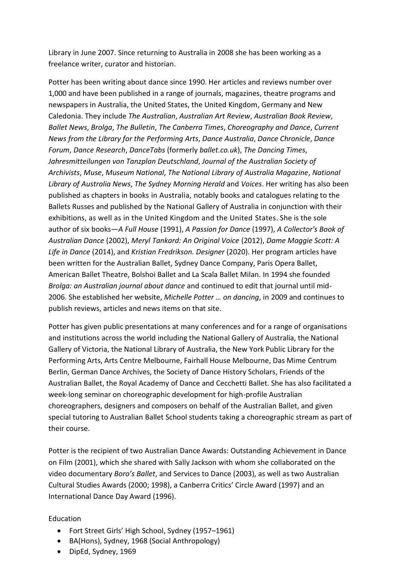Library in June 2007. Since returning to Australia in 2008 she has been working as a freelance writer, curator and historian.

Potter has been writing about dance since 1990. Her articles and reviews number over 1,000 and have been published in a range of journals, magazines, theatre programs and newspapers in Australia, the United States, the United Kingdom, Germany and New Caledonia. They include *The Australian*, *Australian Art Review*, *Australian Book Review*, *Ballet News*, *Brolga*, *The Bulletin*, *The Canberra Times*, *Choreography and Dance*, *Current News from the Library for the Performing Arts*, *Dance Australia*, *Dance Chronicle*, *Dance Forum*, *Dance Research*, *DanceTabs* (formerly *ballet.co.uk*), *The Dancing Times*, *Jahresmitteilungen von Tanzplan Deutschland*, *Journal of the Australian Society of Archivists*, *Muse*, *Museum National*, *The National Library of Australia Magazine*, *National Library of Australia News*, *The Sydney Morning Herald* and *Voices*. Her writing has also been published as chapters in books in Australia, notably books and catalogues relating to the Ballets Russes and published by the National Gallery of Australia in conjunction with their exhibitions, as well as in the United Kingdom and the United States. She is the sole author of six books—*A Full House* (1991), *A Passion for Dance* (1997), *A Collector's Book of Australian Dance* (2002), *Meryl Tankard: An Original Voice* (2012), *Dame Maggie Scott: A Life in Dance* (2014), and *Kristian Fredrikson. Designer* (2020). Her program articles have been written for the Australian Ballet, Sydney Dance Company, Paris Opera Ballet, American Ballet Theatre, Bolshoi Ballet and La Scala Ballet Milan. In 1994 she founded *Brolga: an Australian journal about dance* and continued to edit that journal until mid-2006. She established her website, *Michelle Potter … on dancing*, in 2009 and continues to publish reviews, articles and news items on that site.

Potter has given public presentations at many conferences and for a range of organisations and institutions across the world including the National Gallery of Australia, the National Gallery of Victoria, the National Library of Australia, the New York Public Library for the Performing Arts, Arts Centre Melbourne, Fairhall House Melbourne, Das Mime Centrum Berlin, German Dance Archives, the Society of Dance History Scholars, Friends of the Australian Ballet, the Royal Academy of Dance and Cecchetti Ballet. She has also facilitated a week-long seminar on choreographic development for high-profile Australian choreographers, designers and composers on behalf of the Australian Ballet, and given special tutoring to Australian Ballet School students taking a choreographic stream as part of their course.

Potter is the recipient of two Australian Dance Awards: Outstanding Achievement in Dance on Film (2001), which she shared with Sally Jackson with whom she collaborated on the video documentary *Boro's Ballet*, and Services to Dance (2003), as well as two Australian Cultural Studies Awards (2000; 1998), a Canberra Critics' Circle Award (1997) and an International Dance Day Award (1996).

## Education

- Fort Street Girls' High School, Sydney (1957–1961)
- BA(Hons), Sydney, 1968 (Social Anthropology)
- DipEd, Sydney, 1969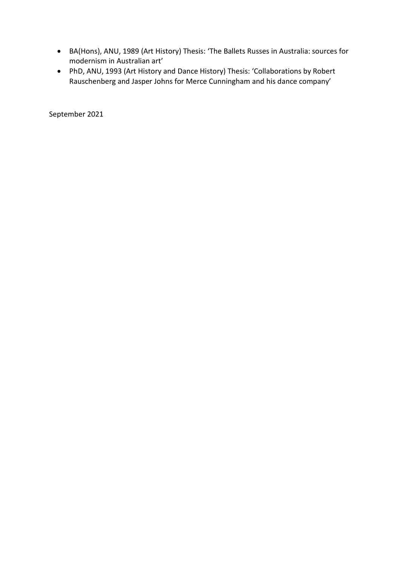- BA(Hons), ANU, 1989 (Art History) Thesis: 'The Ballets Russes in Australia: sources for modernism in Australian art'
- PhD, ANU, 1993 (Art History and Dance History) Thesis: 'Collaborations by Robert Rauschenberg and Jasper Johns for Merce Cunningham and his dance company'

September 2021